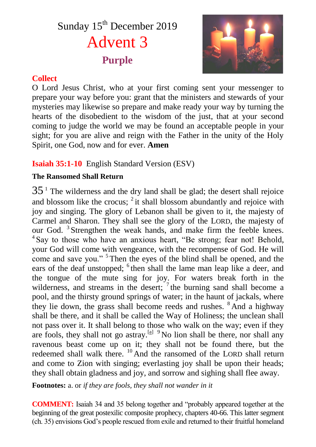# Sunday 15<sup>th</sup> December 2019 Advent 3 **Purple**



#### **Collect**

O Lord Jesus Christ, who at your first coming sent your messenger to prepare your way before you: grant that the ministers and stewards of your mysteries may likewise so prepare and make ready your way by turning the hearts of the disobedient to the wisdom of the just, that at your second coming to judge the world we may be found an acceptable people in your sight; for you are alive and reign with the Father in the unity of the Holy Spirit, one God, now and for ever. **Amen**

# **Isaiah 35:1-10** English Standard Version (ESV)

#### **The Ransomed Shall Return**

 $35<sup>1</sup>$  The wilderness and the dry land shall be glad; the desert shall rejoice and blossom like the crocus;  $2$  it shall blossom abundantly and rejoice with joy and singing. The glory of Lebanon shall be given to it, the majesty of Carmel and Sharon. They shall see the glory of the LORD, the majesty of our God.<sup>3</sup> Strengthen the weak hands, and make firm the feeble knees. <sup>4</sup> Say to those who have an anxious heart, "Be strong; fear not! Behold, your God will come with vengeance, with the recompense of God. He will come and save you."<sup>5</sup> Then the eyes of the blind shall be opened, and the ears of the deaf unstopped; <sup>6</sup> then shall the lame man leap like a deer, and the tongue of the mute sing for joy. For waters break forth in the wilderness, and streams in the desert;  $\frac{7}{1}$  the burning sand shall become a pool, and the thirsty ground springs of water; in the haunt of jackals, where they lie down, the grass shall become reeds and rushes. <sup>8</sup> And a highway shall be there, and it shall be called the Way of Holiness; the unclean shall not pass over it. It shall belong to those who walk on the way; even if they are fools, they shall not go astray.<sup>[a]  $9$ </sup> No lion shall be there, nor shall any ravenous beast come up on it; they shall not be found there, but the redeemed shall walk there. <sup>10</sup> And the ransomed of the LORD shall return and come to Zion with singing; everlasting joy shall be upon their heads; they shall obtain gladness and joy, and sorrow and sighing shall flee away.

**Footnotes:** a. or *if they are fools, they shall not wander in it*

**COMMENT:** Isaiah 34 and 35 belong together and "probably appeared together at the beginning of the great postexilic composite prophecy, chapters 40-66. This latter segment (ch. 35) envisions God's people rescued from exile and returned to their fruitful homeland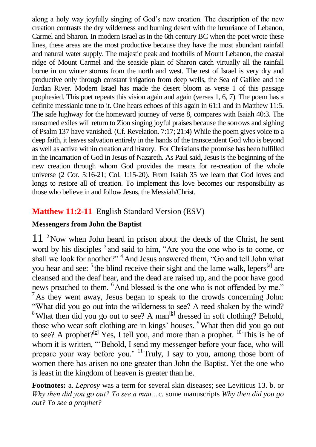along a holy way joyfully singing of God's new creation. The description of the new creation contrasts the dry wilderness and burning desert with the luxuriance of Lebanon, Carmel and Sharon. In modern Israel as in the 6th century BC when the poet wrote these lines, these areas are the most productive because they have the most abundant rainfall and natural water supply. The majestic peak and foothills of Mount Lebanon, the coastal ridge of Mount Carmel and the seaside plain of Sharon catch virtually all the rainfall borne in on winter storms from the north and west. The rest of Israel is very dry and productive only through constant irrigation from deep wells, the Sea of Galilee and the Jordan River. Modern Israel has made the desert bloom as verse 1 of this passage prophesied. This poet repeats this vision again and again (verses 1, 6, 7). The poem has a definite messianic tone to it. One hears echoes of this again in 61:1 and in Matthew 11:5. The safe highway for the homeward journey of verse 8, compares with Isaiah 40:3. The ransomed exiles will return to Zion singing joyful praises because the sorrows and sighing of Psalm 137 have vanished. (Cf. Revelation. 7:17; 21:4) While the poem gives voice to a deep faith, it leaves salvation entirely in the hands of the transcendent God who is beyond as well as active within creation and history. For Christians the promise has been fulfilled in the incarnation of God in Jesus of Nazareth. As Paul said, Jesus is the beginning of the new creation through whom God provides the means for re-creation of the whole universe (2 Cor. 5:16-21; Col. 1:15-20). From Isaiah 35 we learn that God loves and longs to restore all of creation. To implement this love becomes our responsibility as those who believe in and follow Jesus, the Messiah/Christ.

#### **Matthew 11:2-11** English Standard Version (ESV)

#### **Messengers from John the Baptist**

 $11<sup>2</sup>$  Now when John heard in prison about the deeds of the Christ, he sent word by his disciples <sup>3</sup> and said to him, "Are you the one who is to come, or shall we look for another?" <sup>4</sup>And Jesus answered them, "Go and tell John what you hear and see: <sup>5</sup> the blind receive their sight and the lame walk, lepers<sup>[a]</sup> are cleansed and the deaf hear, and the dead are raised up, and the poor have good news preached to them. <sup>6</sup>And blessed is the one who is not offended by me."  $<sup>7</sup>$ As they went away, Jesus began to speak to the crowds concerning John:</sup> "What did you go out into the wilderness to see? A reed shaken by the wind? <sup>8</sup>What then did you go out to see? A man<sup>[b]</sup> dressed in soft clothing? Behold, those who wear soft clothing are in kings' houses. <sup>9</sup>What then did you go out to see? A prophet?<sup>[c]</sup> Yes, I tell you, and more than a prophet. <sup>10</sup>This is he of whom it is written, "'Behold, I send my messenger before your face, who will prepare your way before you.'  $\frac{11}{11}$ Truly, I say to you, among those born of women there has arisen no one greater than John the Baptist. Yet the one who is least in the kingdom of heaven is greater than he.

**Footnotes:** a. *Leprosy* was a term for several skin diseases; see Leviticus 13. b. or *Why then did you go out? To see a man…*c. some manuscripts *Why then did you go out? To see a prophet?*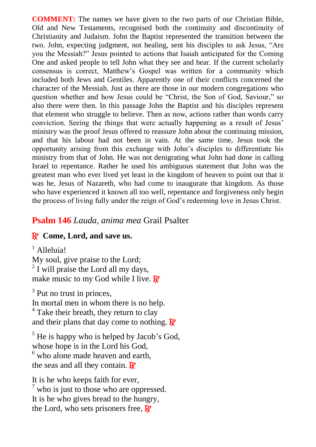**COMMENT:** The names we have given to the two parts of our Christian Bible, Old and New Testaments, recognised both the continuity and discontinuity of Christianity and Judaism. John the Baptist represented the transition between the two. John, expecting judgment, not healing, sent his disciples to ask Jesus, "Are you the Messiah?" Jesus pointed to actions that Isaiah anticipated for the Coming One and asked people to tell John what they see and hear. If the current scholarly consensus is correct, Matthew's Gospel was written for a community which included both Jews and Gentiles. Apparently one of their conflicts concerned the character of the Messiah. Just as there are those in our modern congregations who question whether and how Jesus could be "Christ, the Son of God, Saviour," so also there were then. In this passage John the Baptist and his disciples represent that element who struggle to believe. Then as now, actions rather than words carry conviction. Seeing the things that were actually happening as a result of Jesus' ministry was the proof Jesus offered to reassure John about the continuing mission, and that his labour had not been in vain. At the same time, Jesus took the opportunity arising from this exchange with John's disciples to differentiate his ministry from that of John. He was not denigrating what John had done in calling Israel to repentance. Rather he used his ambiguous statement that John was the greatest man who ever lived yet least in the kingdom of heaven to point out that it was he, Jesus of Nazareth, who had come to inaugurate that kingdom. As those who have experienced it known all too well, repentance and forgiveness only begin the process of living fully under the reign of God's redeeming love in Jesus Christ.

#### **Psalm 146** *Lauda, anima mea* Grail Psalter

#### R **Come, Lord, and save us.**

<sup>1</sup> Alleluia!

My soul, give praise to the Lord; <sup>2</sup> I will praise the Lord all my days, make music to my God while I live.  $\mathbb{R}^r$ 

<sup>3</sup> Put no trust in princes, In mortal men in whom there is no help.  $4$  Take their breath, they return to clay and their plans that day come to nothing.  $\mathbb{R}^7$ 

 $<sup>5</sup>$  He is happy who is helped by Jacob's God,</sup> whose hope is in the Lord his God, <sup>6</sup> who alone made heaven and earth, the seas and all they contain.  $\mathbb{R}^7$ 

It is he who keeps faith for ever,  $<sup>7</sup>$  who is just to those who are oppressed.</sup> It is he who gives bread to the hungry, the Lord, who sets prisoners free,  $\mathbb{R}^7$